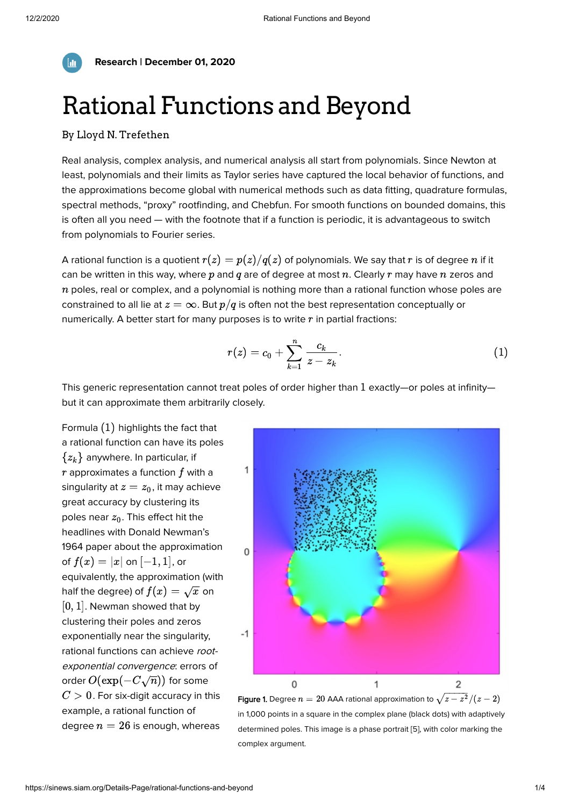

**Research | December 01, 2020**

## Rational Functions and Beyond

## By [Lloyd N. Trefethen](https://sinews.siam.org/About-the-Author/lloyd-n-trefethen)

Real analysis, complex analysis, and numerical analysis all start from polynomials. Since Newton at least, polynomials and their limits as Taylor series have captured the local behavior of functions, and the approximations become global with numerical methods such as data fitting, quadrature formulas, spectral methods, "proxy" rootfinding, and Chebfun. For smooth functions on bounded domains, this is often all you need — with the footnote that if a function is periodic, it is advantageous to switch from polynomials to Fourier series.

A rational function is a quotient  $r(z) = p(z)/q(z)$  of polynomials. We say that  $r$  is of degree  $\overline{n}$  if it can be written in this way, where  $p$  and  $q$  are of degree at most  $n.$  Clearly  $r$  may have  $n$  zeros and  $\overline{n}$  poles, real or complex, and a polynomial is nothing more than a rational function whose poles are constrained to all lie at  $z=\infty.$  But  $p/q$  is often not the best representation conceptually or numerically. A better start for many purposes is to write  $r$  in partial fractions:

$$
r(z)=c_0+\sum_{k=1}^n\frac{c_k}{z-z_k}.\quad \hspace{1.5cm} (1)
$$

This generic representation cannot treat poles of order higher than  $1$  exactly—or poles at infinity but it can approximate them arbitrarily closely.

Formula  $(1)$  highlights the fact that a rational function can have its poles  $\{z_k\}$  anywhere. In particular, if  $r$  approximates a function  $f$  with a singularity at  $z=z_0$ , it may achieve great accuracy by clustering its poles near  $z_0.$  This effect hit the headlines with Donald Newman's 1964 paper about the approximation of  $f(x) = |x|$  on  $[-1, 1]$ , or equivalently, the approximation (with half the degree) of  $f(x) = \sqrt{x}$  on  $[0, 1]$ . Newman showed that by clustering their poles and zeros exponentially near the singularity, rational functions can achieve rootexponential convergence: errors of order  $O(\exp(-C\sqrt{n}))$  for some  $\overline{C}>0.$  For six-digit accuracy in this example, a rational function of degree  $n = 26$  is enough, whereas



in 1,000 points in a square in the complex plane (black dots) with adaptively determined poles. This image is a phase portrait [5], with color marking the complex argument.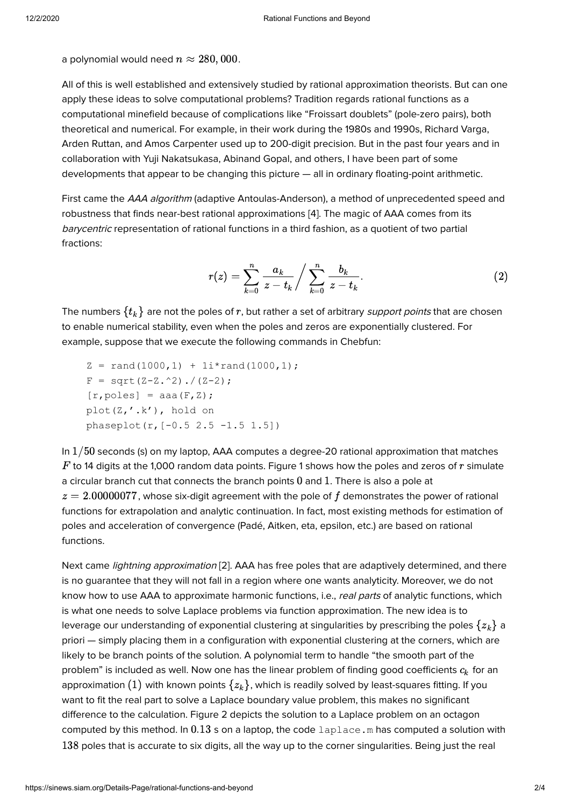a polynomial would need  $n \approx 280,000.$ 

All of this is well established and extensively studied by rational approximation theorists. But can one apply these ideas to solve computational problems? Tradition regards rational functions as a computational minefield because of complications like "Froissart doublets" (pole-zero pairs), both theoretical and numerical. For example, in their work during the 1980s and 1990s, Richard Varga, Arden Ruttan, and Amos Carpenter used up to 200-digit precision. But in the past four years and in collaboration with Yuji Nakatsukasa, Abinand Gopal, and others, I have been part of some developments that appear to be changing this picture — all in ordinary floating-point arithmetic.

First came the AAA algorithm (adaptive Antoulas-Anderson), a method of unprecedented speed and robustness that finds near-best rational approximations [4]. The magic of AAA comes from its barycentric representation of rational functions in a third fashion, as a quotient of two partial fractions:

$$
r(z) = \sum_{k=0}^{n} \frac{a_k}{z - t_k} / \sum_{k=0}^{n} \frac{b_k}{z - t_k}.
$$
 (2)

The numbers  $\{t_k\}$  are not the poles of  $r$ , but rather a set of arbitrary *support points* that are chosen to enable numerical stability, even when the poles and zeros are exponentially clustered. For example, suppose that we execute the following commands in Chebfun:

 $Z = \text{rand}(1000, 1) + 1i* \text{rand}(1000, 1);$  $F = sqrt(Z-Z.^2)./(Z-2);$  $[r, poles] = aaa(F,Z);$  plot(Z,'.k'), hold on phaseplot(r,[-0.5 2.5 -1.5 1.5])

In  $1/50$  seconds (s) on my laptop, AAA computes a degree-20 rational approximation that matches  $F$  to 14 digits at the 1,000 random data points. Figure 1 shows how the poles and zeros of  $r$  simulate a circular branch cut that connects the branch points  $0$  and  $1$ . There is also a pole at  $z=2.00000077$ , whose six-digit agreement with the pole of  $f$  demonstrates the power of rational functions for extrapolation and analytic continuation. In fact, most existing methods for estimation of poles and acceleration of convergence (Padé, Aitken, eta, epsilon, etc.) are based on rational functions.

Next came *lightning approximation* [2]. AAA has free poles that are adaptively determined, and there is no guarantee that they will not fall in a region where one wants analyticity. Moreover, we do not know how to use AAA to approximate harmonic functions, i.e., real parts of analytic functions, which is what one needs to solve Laplace problems via function approximation. The new idea is to leverage our understanding of exponential clustering at singularities by prescribing the poles  $\{z_k\}$  a priori — simply placing them in a configuration with exponential clustering at the corners, which are likely to be branch points of the solution. A polynomial term to handle "the smooth part of the problem" is included as well. Now one has the linear problem of finding good coefficients  $c_k$  for an approximation  $(1)$  with known points  $\{z_k\}$ , which is readily solved by least-squares fitting. If you want to fit the real part to solve a Laplace boundary value problem, this makes no significant difference to the calculation. Figure 2 depicts the solution to a Laplace problem on an octagon computed by this method. In  $0.13$  s on a laptop, the code <code>[laplace.m](https://people.maths.ox.ac.uk/trefethen/lightning.html)</code> has computed a solution with  $138$  poles that is accurate to six digits, all the way up to the corner singularities. Being just the real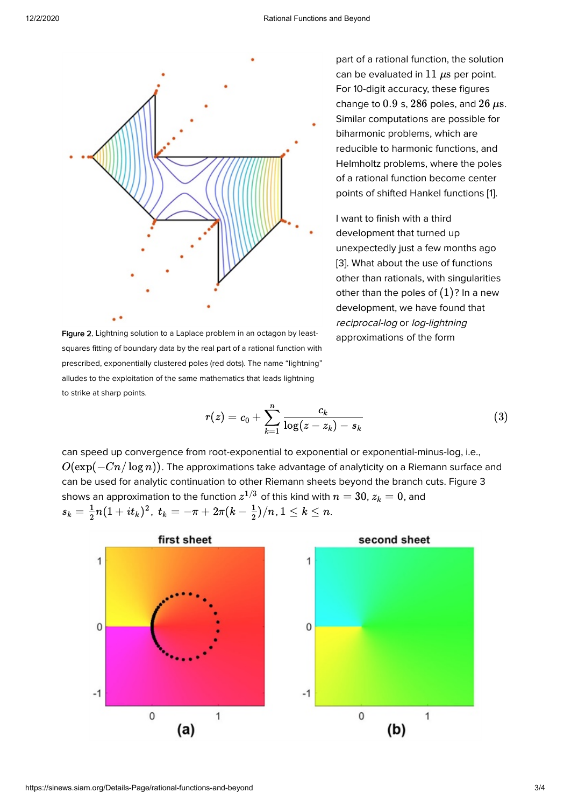

Figure 2. Lightning solution to a Laplace problem in an octagon by leastsquares fitting of boundary data by the real part of a rational function with prescribed, exponentially clustered poles (red dots). The name "lightning" alludes to the exploitation of the same mathematics that leads lightning to strike at sharp points.

part of a rational function, the solution can be evaluated in  $11~\mu\mathrm{s}$  per point. For 10-digit accuracy, these figures change to  $0.9$  s,  $286$  poles, and  $26 \ \mu s$ . Similar computations are possible for biharmonic problems, which are reducible to harmonic functions, and Helmholtz problems, where the poles of a rational function become center points of shifted Hankel functions [1].

I want to finish with a third development that turned up unexpectedly just a few months ago [3]. What about the use of functions other than rationals, with singularities other than the poles of  $(1)$ ? In a new development, we have found that reciprocal-log or log-lightning approximations of the form

$$
r(z)=c_0+\sum_{k=1}^n\frac{c_k}{\log(z-z_k)-s_k}\qquad \qquad (3)
$$

can speed up convergence from root-exponential to exponential or exponential-minus-log, i.e.,  $O(\exp(-Cn/\log n)).$  The approximations take advantage of analyticity on a Riemann surface and can be used for analytic continuation to other Riemann sheets beyond the branch cuts. Figure 3 shows an approximation to the function  $z^{1/3}$  of this kind with  $n=30, z_k=0,$  and  $s_k = \frac{1}{2}n(1+it_k)^2, \ t_k = -\pi + 2\pi(k-\frac{1}{2})/n, 1 \leq k \leq n.$